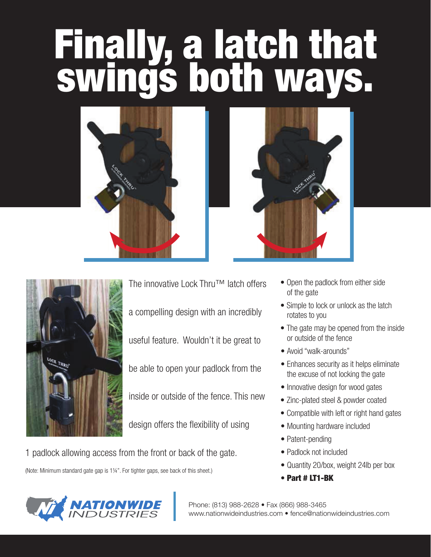## **Finally, a latch that<br>swings both ways.**







The innovative Lock Thru™ latch offers a compelling design with an incredibly useful feature. Wouldn't it be great to be able to open your padlock from the inside or outside of the fence. This new design offers the flexibility of using

1 padlock allowing access from the front or back of the gate.

(Note: Minimum standard gate gap is 11/4". For tighter gaps, see back of this sheet.)



- Simple to lock or unlock as the latch rotates to you
- The gate may be opened from the inside or outside of the fence
- Avoid "walk-arounds"
- Enhances security as it helps eliminate the excuse of not locking the gate
- Innovative design for wood gates
- Zinc-plated steel & powder coated
- Compatible with left or right hand gates
- Mounting hardware included
- Patent-pending
- Padlock not included
- Quantity 20/box, weight 24lb per box
- Part # LT1-BK